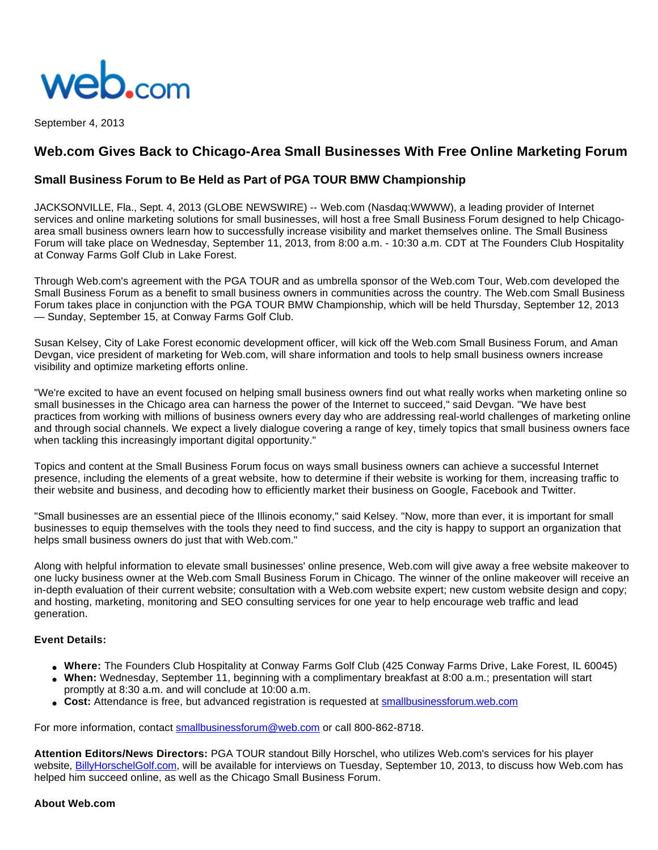

September 4, 2013

# **Web.com Gives Back to Chicago-Area Small Businesses With Free Online Marketing Forum**

## **Small Business Forum to Be Held as Part of PGA TOUR BMW Championship**

JACKSONVILLE, Fla., Sept. 4, 2013 (GLOBE NEWSWIRE) -- Web.com (Nasdaq:WWWW), a leading provider of Internet services and online marketing solutions for small businesses, will host a free Small Business Forum designed to help Chicagoarea small business owners learn how to successfully increase visibility and market themselves online. The Small Business Forum will take place on Wednesday, September 11, 2013, from 8:00 a.m. - 10:30 a.m. CDT at The Founders Club Hospitality at Conway Farms Golf Club in Lake Forest.

Through Web.com's agreement with the PGA TOUR and as umbrella sponsor of the Web.com Tour, Web.com developed the Small Business Forum as a benefit to small business owners in communities across the country. The Web.com Small Business Forum takes place in conjunction with the PGA TOUR BMW Championship, which will be held Thursday, September 12, 2013 — Sunday, September 15, at Conway Farms Golf Club.

Susan Kelsey, City of Lake Forest economic development officer, will kick off the Web.com Small Business Forum, and Aman Devgan, vice president of marketing for Web.com, will share information and tools to help small business owners increase visibility and optimize marketing efforts online.

"We're excited to have an event focused on helping small business owners find out what really works when marketing online so small businesses in the Chicago area can harness the power of the Internet to succeed," said Devgan. "We have best practices from working with millions of business owners every day who are addressing real-world challenges of marketing online and through social channels. We expect a lively dialogue covering a range of key, timely topics that small business owners face when tackling this increasingly important digital opportunity."

Topics and content at the Small Business Forum focus on ways small business owners can achieve a successful Internet presence, including the elements of a great website, how to determine if their website is working for them, increasing traffic to their website and business, and decoding how to efficiently market their business on Google, Facebook and Twitter.

"Small businesses are an essential piece of the Illinois economy," said Kelsey. "Now, more than ever, it is important for small businesses to equip themselves with the tools they need to find success, and the city is happy to support an organization that helps small business owners do just that with Web.com."

Along with helpful information to elevate small businesses' online presence, Web.com will give away a free website makeover to one lucky business owner at the Web.com Small Business Forum in Chicago. The winner of the online makeover will receive an in-depth evaluation of their current website; consultation with a Web.com website expert; new custom website design and copy; and hosting, marketing, monitoring and SEO consulting services for one year to help encourage web traffic and lead generation.

#### **Event Details:**

- **Where:** The Founders Club Hospitality at Conway Farms Golf Club (425 Conway Farms Drive, Lake Forest, IL 60045)
- **When:** Wednesday, September 11, beginning with a complimentary breakfast at 8:00 a.m.; presentation will start promptly at 8:30 a.m. and will conclude at 10:00 a.m.
- Cost: Attendance is free, but advanced registration is requested at [smallbusinessforum.web.com](http://www.globenewswire.com/newsroom/ctr?d=10047112&l=8&a=smallbusinessforum.web.com&u=http%3A%2F%2Fsmallbusinessforum.web.com%2F)

For more information, contact [smallbusinessforum@web.com](http://www.globenewswire.com/newsroom/ctr?d=10047112&l=9&a=smallbusinessforum%40web.com&u=mailto%3Asmallbusinessforum%40web.com) or call 800-862-8718.

**Attention Editors/News Directors:** PGA TOUR standout Billy Horschel, who utilizes Web.com's services for his player website, [BillyHorschelGolf.com](http://www.globenewswire.com/newsroom/ctr?d=10047112&l=10&a=BillyHorschelGolf.com&u=http%3A%2F%2Fwww.billyhorschelgolf.com%2F), will be available for interviews on Tuesday, September 10, 2013, to discuss how Web.com has helped him succeed online, as well as the Chicago Small Business Forum.

#### **About Web.com**